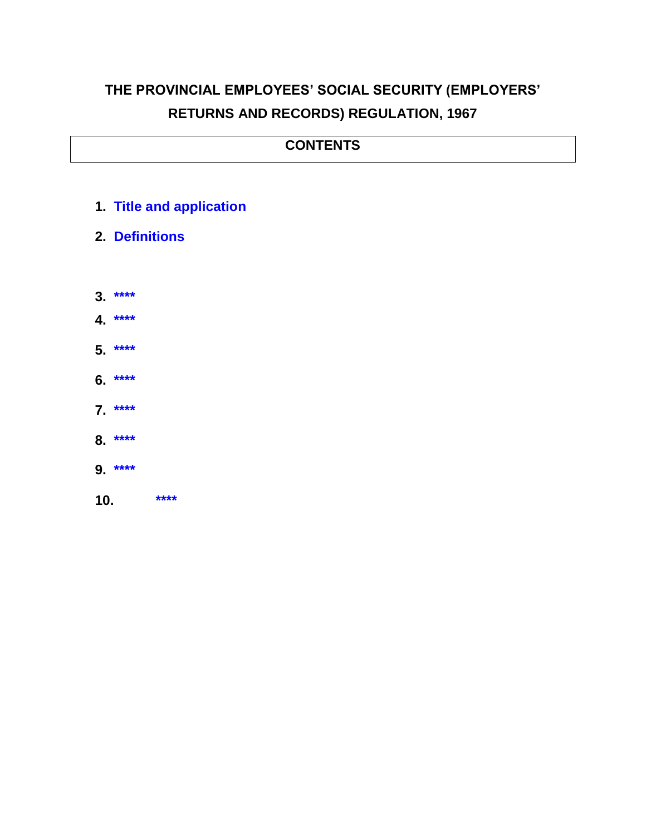## **THE PROVINCIAL EMPLOYEES' SOCIAL SECURITY (EMPLOYERS' RETURNS AND RECORDS) REGULATION, 1967**

## **CONTENTS**

- **1. [Title and application](#page-1-0)**
- **2. Definitions**
- **3. [\\*\\*\\*\\*](#page-2-0)**
- **4. [\\*\\*\\*\\*](#page-2-1)**
- **5. [\\*\\*\\*\\*](#page-3-0)**
- **6. [\\*\\*\\*\\*](#page-3-1)**
- **7. [\\*\\*\\*\\*](#page-3-2)**
- **8. [\\*\\*\\*\\*](#page-3-3)**
- **9. [\\*\\*\\*\\*](#page-3-4)**
- **10. [\\*\\*\\*\\*](#page-4-0)**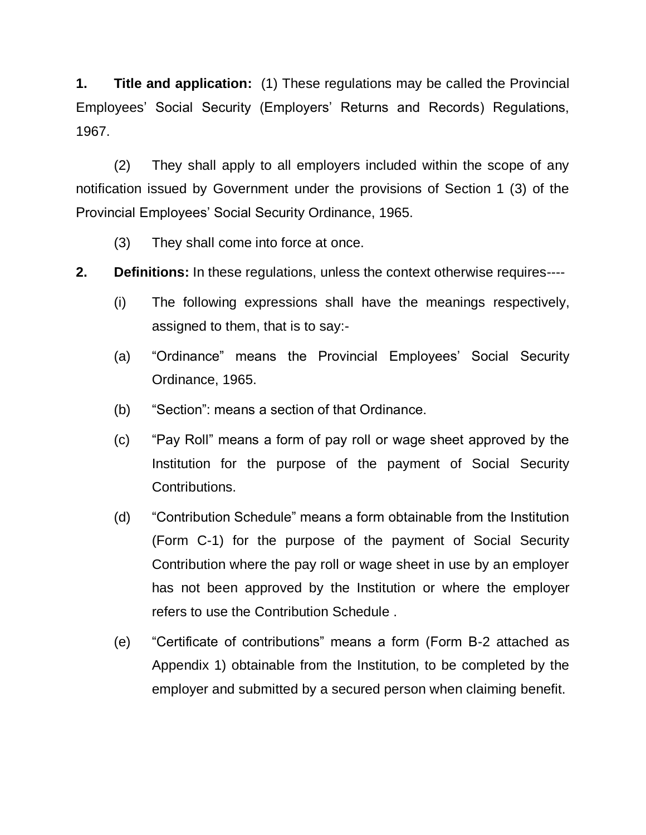<span id="page-1-0"></span>**1. Title and application:** (1) These regulations may be called the Provincial Employees' Social Security (Employers' Returns and Records) Regulations, 1967.

(2) They shall apply to all employers included within the scope of any notification issued by Government under the provisions of Section 1 (3) of the Provincial Employees' Social Security Ordinance, 1965.

- (3) They shall come into force at once.
- **2. Definitions:** In these regulations, unless the context otherwise requires----
	- (i) The following expressions shall have the meanings respectively, assigned to them, that is to say:-
	- (a) "Ordinance" means the Provincial Employees' Social Security Ordinance, 1965.
	- (b) "Section": means a section of that Ordinance.
	- (c) "Pay Roll" means a form of pay roll or wage sheet approved by the Institution for the purpose of the payment of Social Security Contributions.
	- (d) "Contribution Schedule" means a form obtainable from the Institution (Form C-1) for the purpose of the payment of Social Security Contribution where the pay roll or wage sheet in use by an employer has not been approved by the Institution or where the employer refers to use the Contribution Schedule .
	- (e) "Certificate of contributions" means a form (Form B-2 attached as Appendix 1) obtainable from the Institution, to be completed by the employer and submitted by a secured person when claiming benefit.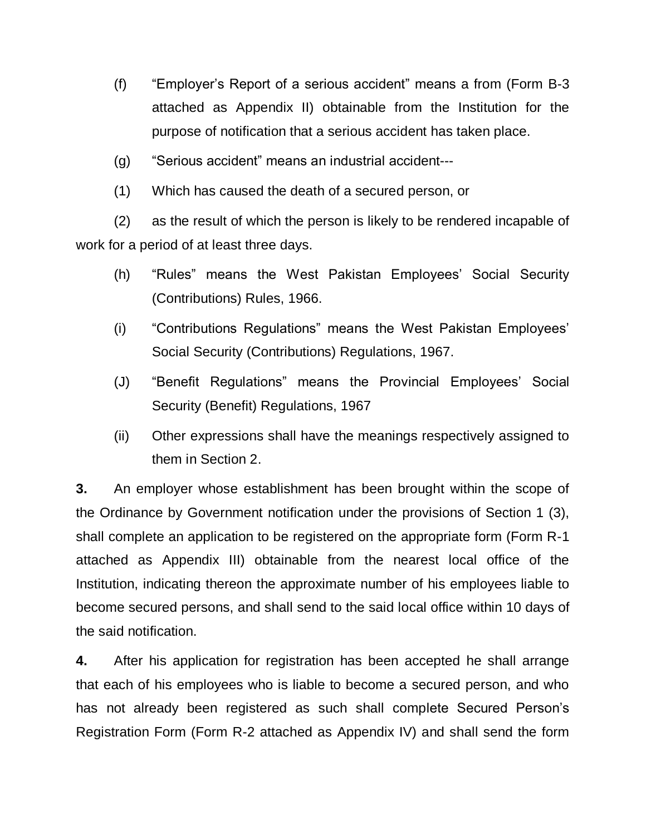- (f) "Employer's Report of a serious accident" means a from (Form B-3 attached as Appendix II) obtainable from the Institution for the purpose of notification that a serious accident has taken place.
- (g) "Serious accident" means an industrial accident---
- (1) Which has caused the death of a secured person, or

(2) as the result of which the person is likely to be rendered incapable of work for a period of at least three days.

- (h) "Rules" means the West Pakistan Employees' Social Security (Contributions) Rules, 1966.
- (i) "Contributions Regulations" means the West Pakistan Employees' Social Security (Contributions) Regulations, 1967.
- (J) "Benefit Regulations" means the Provincial Employees' Social Security (Benefit) Regulations, 1967
- (ii) Other expressions shall have the meanings respectively assigned to them in Section 2.

<span id="page-2-0"></span>**3.** An employer whose establishment has been brought within the scope of the Ordinance by Government notification under the provisions of Section 1 (3), shall complete an application to be registered on the appropriate form (Form R-1 attached as Appendix III) obtainable from the nearest local office of the Institution, indicating thereon the approximate number of his employees liable to become secured persons, and shall send to the said local office within 10 days of the said notification.

<span id="page-2-1"></span>**4.** After his application for registration has been accepted he shall arrange that each of his employees who is liable to become a secured person, and who has not already been registered as such shall complete Secured Person's Registration Form (Form R-2 attached as Appendix IV) and shall send the form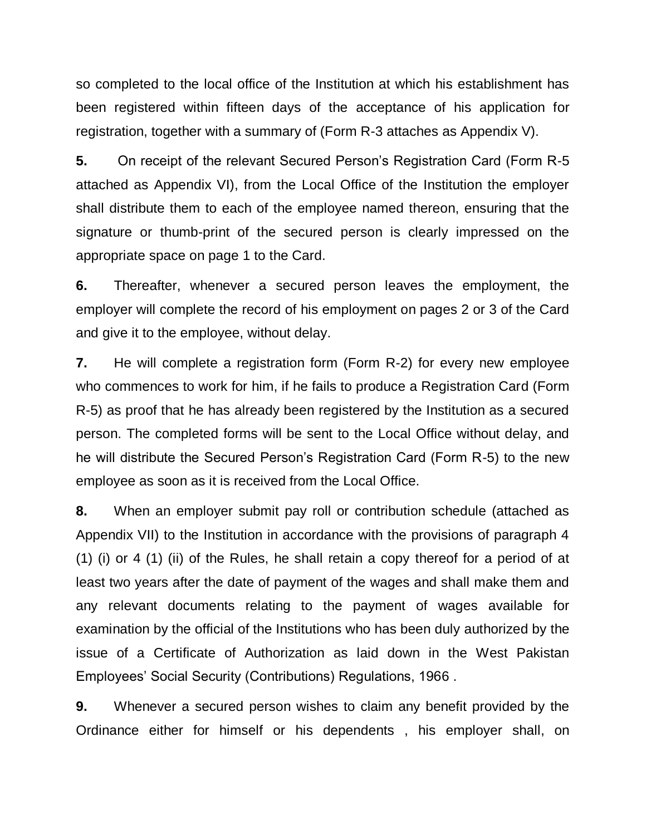so completed to the local office of the Institution at which his establishment has been registered within fifteen days of the acceptance of his application for registration, together with a summary of (Form R-3 attaches as Appendix V).

<span id="page-3-0"></span>**5.** On receipt of the relevant Secured Person's Registration Card (Form R-5 attached as Appendix VI), from the Local Office of the Institution the employer shall distribute them to each of the employee named thereon, ensuring that the signature or thumb-print of the secured person is clearly impressed on the appropriate space on page 1 to the Card.

<span id="page-3-1"></span>**6.** Thereafter, whenever a secured person leaves the employment, the employer will complete the record of his employment on pages 2 or 3 of the Card and give it to the employee, without delay.

<span id="page-3-2"></span>**7.** He will complete a registration form (Form R-2) for every new employee who commences to work for him, if he fails to produce a Registration Card (Form R-5) as proof that he has already been registered by the Institution as a secured person. The completed forms will be sent to the Local Office without delay, and he will distribute the Secured Person's Registration Card (Form R-5) to the new employee as soon as it is received from the Local Office.

<span id="page-3-3"></span>**8.** When an employer submit pay roll or contribution schedule (attached as Appendix VII) to the Institution in accordance with the provisions of paragraph 4 (1) (i) or 4 (1) (ii) of the Rules, he shall retain a copy thereof for a period of at least two years after the date of payment of the wages and shall make them and any relevant documents relating to the payment of wages available for examination by the official of the Institutions who has been duly authorized by the issue of a Certificate of Authorization as laid down in the West Pakistan Employees' Social Security (Contributions) Regulations, 1966 .

<span id="page-3-4"></span>**9.** Whenever a secured person wishes to claim any benefit provided by the Ordinance either for himself or his dependents , his employer shall, on